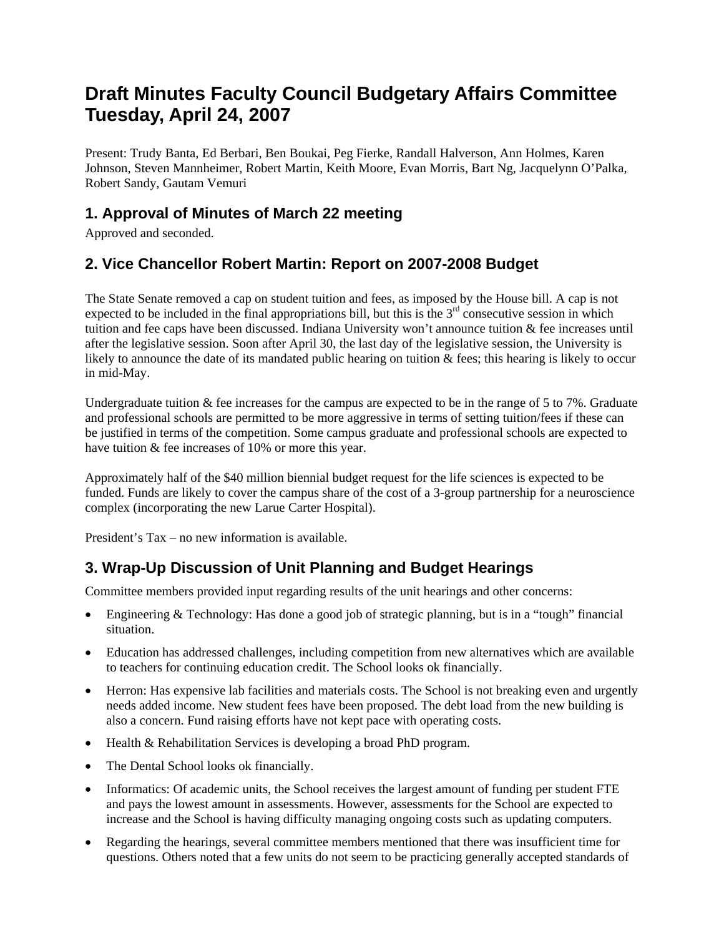# **Draft Minutes Faculty Council Budgetary Affairs Committee Tuesday, April 24, 2007**

Present: Trudy Banta, Ed Berbari, Ben Boukai, Peg Fierke, Randall Halverson, Ann Holmes, Karen Johnson, Steven Mannheimer, Robert Martin, Keith Moore, Evan Morris, Bart Ng, Jacquelynn O'Palka, Robert Sandy, Gautam Vemuri

### **1. Approval of Minutes of March 22 meeting**

Approved and seconded.

#### **2. Vice Chancellor Robert Martin: Report on 2007-2008 Budget**

The State Senate removed a cap on student tuition and fees, as imposed by the House bill. A cap is not expected to be included in the final appropriations bill, but this is the  $3<sup>rd</sup>$  consecutive session in which tuition and fee caps have been discussed. Indiana University won't announce tuition & fee increases until after the legislative session. Soon after April 30, the last day of the legislative session, the University is likely to announce the date of its mandated public hearing on tuition  $\&$  fees; this hearing is likely to occur in mid-May.

Undergraduate tuition & fee increases for the campus are expected to be in the range of 5 to 7%. Graduate and professional schools are permitted to be more aggressive in terms of setting tuition/fees if these can be justified in terms of the competition. Some campus graduate and professional schools are expected to have tuition & fee increases of 10% or more this year.

Approximately half of the \$40 million biennial budget request for the life sciences is expected to be funded. Funds are likely to cover the campus share of the cost of a 3-group partnership for a neuroscience complex (incorporating the new Larue Carter Hospital).

President's Tax – no new information is available.

### **3. Wrap-Up Discussion of Unit Planning and Budget Hearings**

Committee members provided input regarding results of the unit hearings and other concerns:

- Engineering & Technology: Has done a good job of strategic planning, but is in a "tough" financial situation.
- Education has addressed challenges, including competition from new alternatives which are available to teachers for continuing education credit. The School looks ok financially.
- Herron: Has expensive lab facilities and materials costs. The School is not breaking even and urgently needs added income. New student fees have been proposed. The debt load from the new building is also a concern. Fund raising efforts have not kept pace with operating costs.
- Health & Rehabilitation Services is developing a broad PhD program.
- The Dental School looks ok financially.
- Informatics: Of academic units, the School receives the largest amount of funding per student FTE and pays the lowest amount in assessments. However, assessments for the School are expected to increase and the School is having difficulty managing ongoing costs such as updating computers.
- Regarding the hearings, several committee members mentioned that there was insufficient time for questions. Others noted that a few units do not seem to be practicing generally accepted standards of